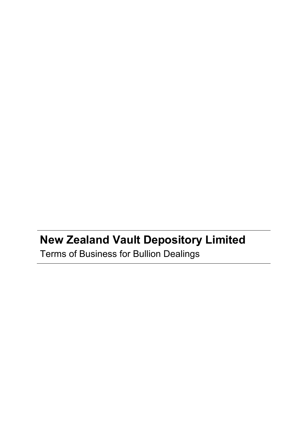# **New Zealand Vault Depository Limited** Terms of Business for Bullion Dealings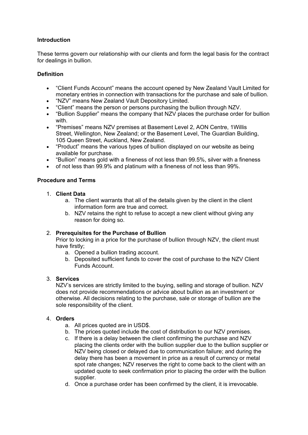## **Introduction**

These terms govern our relationship with our clients and form the legal basis for the contract for dealings in bullion.

## **Definition**

- "Client Funds Account" means the account opened by New Zealand Vault Limited for monetary entries in connection with transactions for the purchase and sale of bullion.
- "NZV" means New Zealand Vault Depository Limited.
- "Client" means the person or persons purchasing the bullion through NZV.
- "Bullion Supplier" means the company that NZV places the purchase order for bullion with.
- "Premises" means NZV premises at Basement Level 2, AON Centre, 1Willis Street, Wellington, New Zealand; or the Basement Level, The Guardian Building, 105 Queen Street, Auckland, New Zealand.
- "Product" means the various types of bullion displayed on our website as being available for purchase.
- "Bullion" means gold with a fineness of not less than 99.5%, silver with a fineness
- of not less than 99.9% and platinum with a fineness of not less than 99%.

## **Procedure and Terms**

- 1. **Client Data**
	- a. The client warrants that all of the details given by the client in the client information form are true and correct.
	- b. NZV retains the right to refuse to accept a new client without giving any reason for doing so.

## 2. **Prerequisites for the Purchase of Bullion**

Prior to locking in a price for the purchase of bullion through NZV, the client must have firstly;

- a. Opened a bullion trading account.
- b. Deposited sufficient funds to cover the cost of purchase to the NZV Client Funds Account.

## 3. **Services**

NZV's services are strictly limited to the buying, selling and storage of bullion. NZV does not provide recommendations or advice about bullion as an investment or otherwise. All decisions relating to the purchase, sale or storage of bullion are the sole responsibility of the client.

## 4. **Orders**

- a. All prices quoted are in USD\$.
- b. The prices quoted include the cost of distribution to our NZV premises.
- c. If there is a delay between the client confirming the purchase and NZV placing the clients order with the bullion supplier due to the bullion supplier or NZV being closed or delayed due to communication failure; and during the delay there has been a movement in price as a result of currency or metal spot rate changes; NZV reserves the right to come back to the client with an updated quote to seek confirmation prior to placing the order with the bullion supplier.
- d. Once a purchase order has been confirmed by the client, it is irrevocable.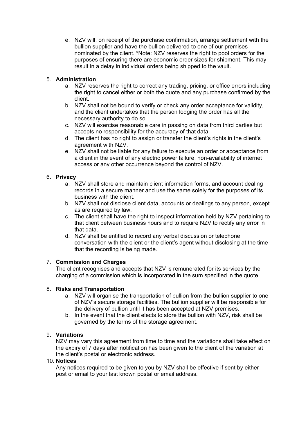e. NZV will, on receipt of the purchase confirmation, arrange settlement with the bullion supplier and have the bullion delivered to one of our premises nominated by the client. \*Note: NZV reserves the right to pool orders for the purposes of ensuring there are economic order sizes for shipment. This may result in a delay in individual orders being shipped to the vault.

# 5. **Administration**

- a. NZV reserves the right to correct any trading, pricing, or office errors including the right to cancel either or both the quote and any purchase confirmed by the client.
- b. NZV shall not be bound to verify or check any order acceptance for validity, and the client undertakes that the person lodging the order has all the necessary authority to do so.
- c. NZV will exercise reasonable care in passing on data from third parties but accepts no responsibility for the accuracy of that data.
- d. The client has no right to assign or transfer the client's rights in the client's agreement with NZV.
- e. NZV shall not be liable for any failure to execute an order or acceptance from a client in the event of any electric power failure, non-availability of internet access or any other occurrence beyond the control of NZV.

# 6. **Privacy**

- a. NZV shall store and maintain client information forms, and account dealing records in a secure manner and use the same solely for the purposes of its business with the client.
- b. NZV shall not disclose client data, accounts or dealings to any person, except as are required by law.
- c. The client shall have the right to inspect information held by NZV pertaining to that client between business hours and to require NZV to rectify any error in that data.
- d. NZV shall be entitled to record any verbal discussion or telephone conversation with the client or the client's agent without disclosing at the time that the recording is being made.

# 7. **Commission and Charges**

The client recognises and accepts that NZV is remunerated for its services by the charging of a commission which is incorporated in the sum specified in the quote.

# 8. **Risks and Transportation**

- a. NZV will organise the transportation of bullion from the bullion supplier to one of NZV's secure storage facilities. The bullion supplier will be responsible for the delivery of bullion until it has been accepted at NZV premises.
- b. In the event that the client elects to store the bullion with NZV, risk shall be governed by the terms of the storage agreement.

# 9. **Variations**

NZV may vary this agreement from time to time and the variations shall take effect on the expiry of 7 days after notification has been given to the client of the variation at the client's postal or electronic address.

# 10. **Notices**

Any notices required to be given to you by NZV shall be effective if sent by either post or email to your last known postal or email address.